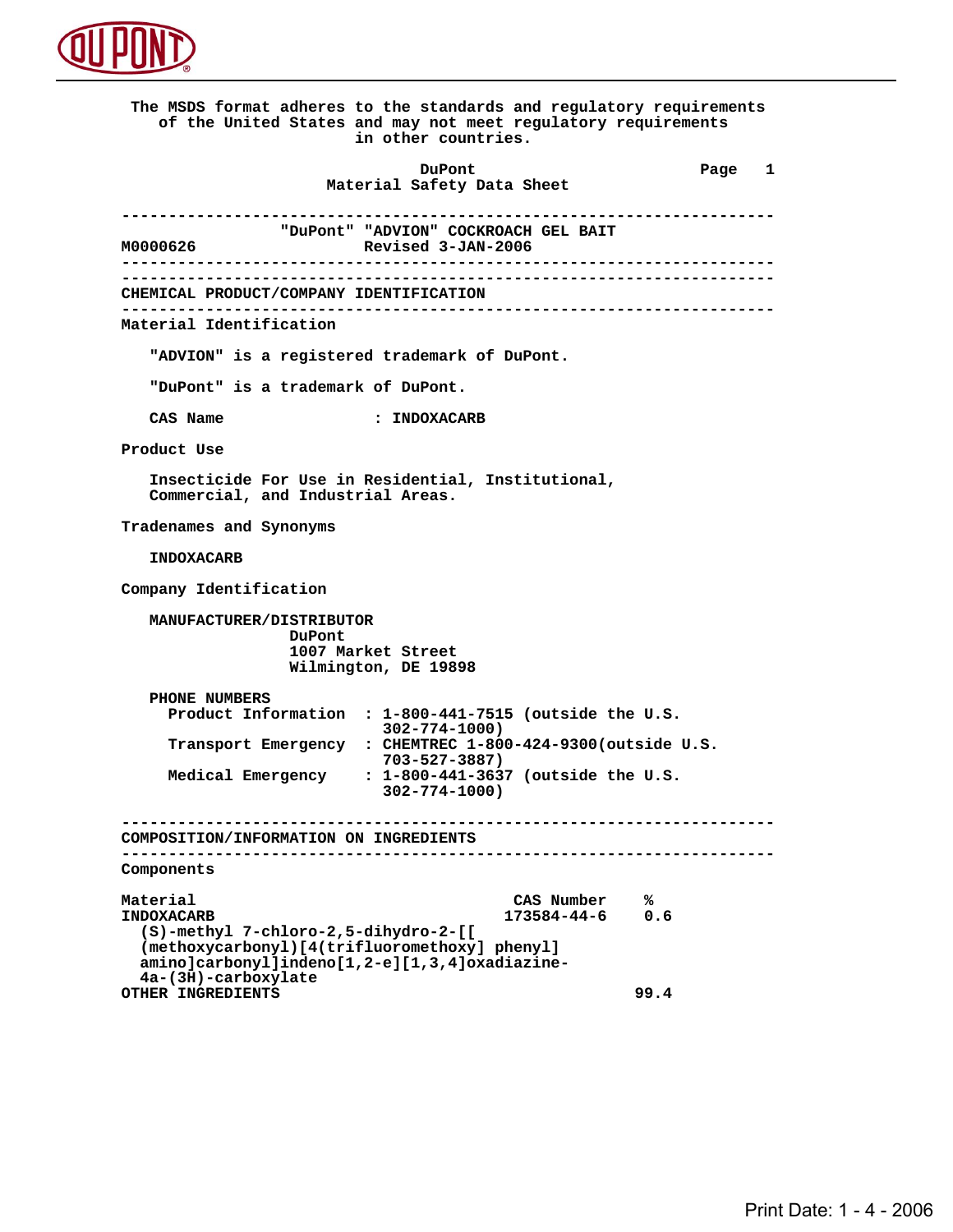

 **The MSDS format adheres to the standards and regulatory requirements of the United States and may not meet regulatory requirements in other countries. DuPont Different Page 1 Material Safety Data Sheet ---------------------------------------------------------------------- MOOOO626** "DuPont" "ADVION" COCKROACH GEL BAIT<br>Revised 3-JAN-2006  **M0000626 Revised 3-JAN-2006 ---------------------------------------------------------------------- ---------------------------------------------------------------------- CHEMICAL PRODUCT/COMPANY IDENTIFICATION ---------------------------------------------------------------------- Material Identification "ADVION" is a registered trademark of DuPont. "DuPont" is a trademark of DuPont. CAS Name : INDOXACARB Product Use Insecticide For Use in Residential, Institutional, Commercial, and Industrial Areas. Tradenames and Synonyms INDOXACARB Company Identification MANUFACTURER/DISTRIBUTOR DuPont 1007 Market Street Wilmington, DE 19898 PHONE NUMBERS Product Information : 1-800-441-7515 (outside the U.S. 302-774-1000) Transport Emergency : CHEMTREC 1-800-424-9300(outside U.S. 703-527-3887) Medical Emergency : 1-800-441-3637 (outside the U.S. 302-774-1000) ---------------------------------------------------------------------- COMPOSITION/INFORMATION ON INGREDIENTS ---------------------------------------------------------------------- Components** Material CAS Number  $\frac{8}{173584-44-6}$  0.6  **INDOXACARB 173584-44-6 0.6 (S)-methyl 7-chloro-2,5-dihydro-2-[[ (methoxycarbonyl)[4(trifluoromethoxy] phenyl] amino]carbonyl]indeno[1,2-e][1,3,4]oxadiazine- 4a-(3H)-carboxylate OTHER INGREDIENTS 99.4**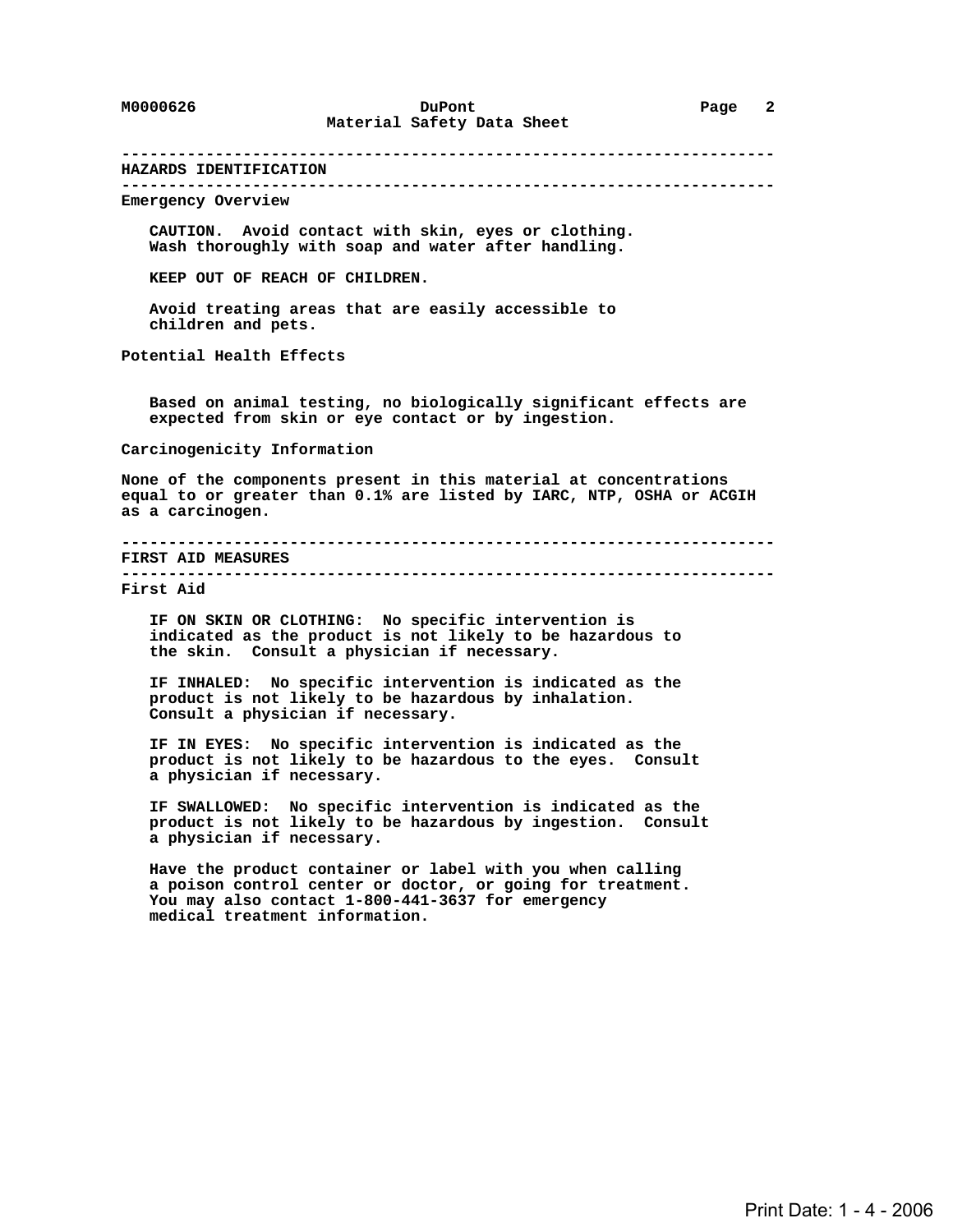# **---------------------------------------------------------------------- HAZARDS IDENTIFICATION ---------------------------------------------------------------------- Emergency Overview CAUTION. Avoid contact with skin, eyes or clothing. Wash thoroughly with soap and water after handling. KEEP OUT OF REACH OF CHILDREN. Avoid treating areas that are easily accessible to children and pets. Potential Health Effects Based on animal testing, no biologically significant effects are expected from skin or eye contact or by ingestion. Carcinogenicity Information None of the components present in this material at concentrations equal to or greater than 0.1% are listed by IARC, NTP, OSHA or ACGIH as a carcinogen. ---------------------------------------------------------------------- FIRST AID MEASURES ---------------------------------------------------------------------- First Aid IF ON SKIN OR CLOTHING: No specific intervention is indicated as the product is not likely to be hazardous to the skin. Consult a physician if necessary. IF INHALED: No specific intervention is indicated as the product is not likely to be hazardous by inhalation. Consult a physician if necessary. IF IN EYES: No specific intervention is indicated as the product is not likely to be hazardous to the eyes. Consult a physician if necessary. IF SWALLOWED: No specific intervention is indicated as the product is not likely to be hazardous by ingestion. Consult a physician if necessary. Have the product container or label with you when calling a poison control center or doctor, or going for treatment. You may also contact 1-800-441-3637 for emergency medical treatment information.**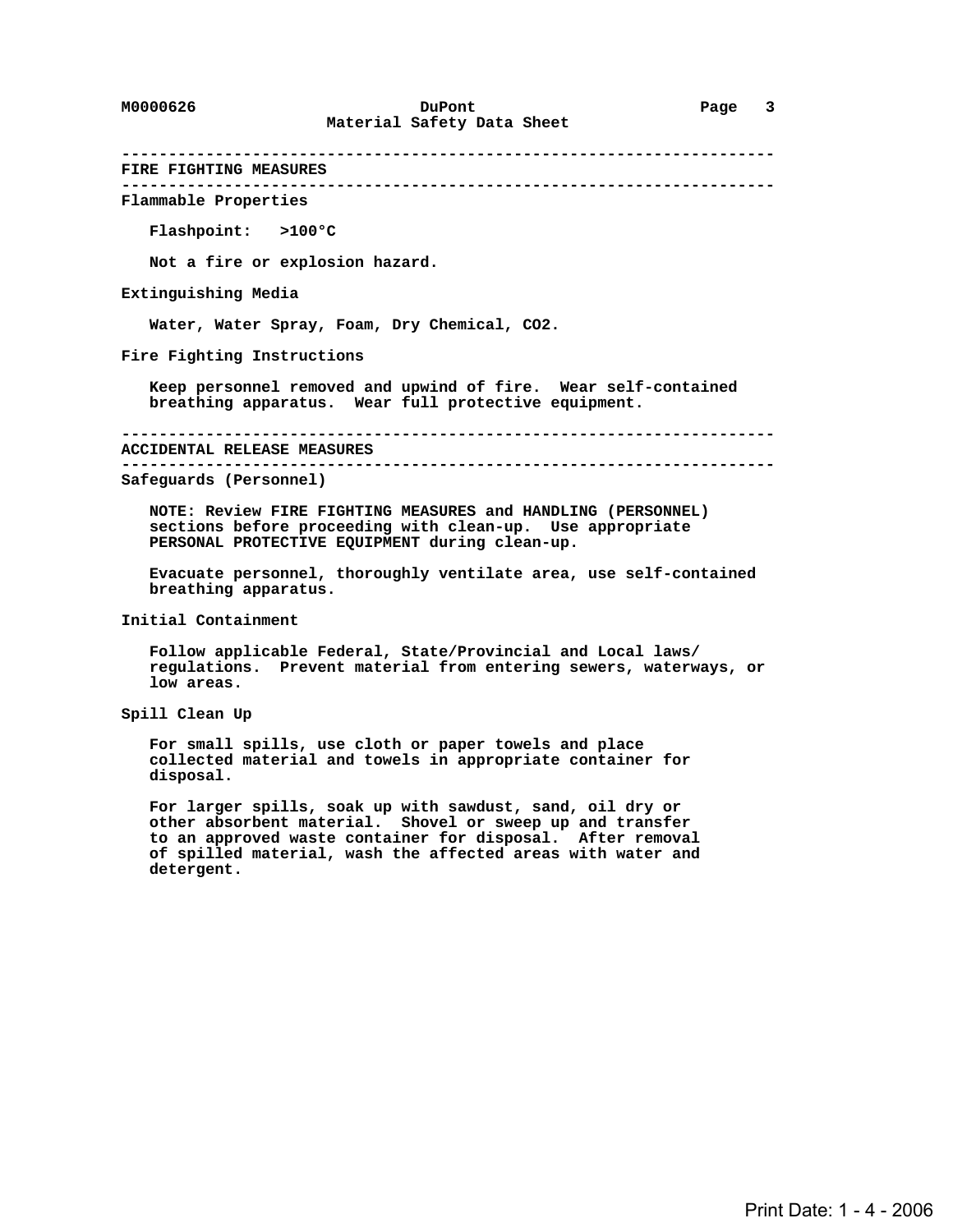**---------------------------------------------------------------------- FIRE FIGHTING MEASURES ----------------------------------------------------------------------**

 **Flammable Properties**

 **Flashpoint: >100°C**

 **Not a fire or explosion hazard.**

 **Extinguishing Media**

 **Water, Water Spray, Foam, Dry Chemical, CO2.**

 **Fire Fighting Instructions**

 **Keep personnel removed and upwind of fire. Wear self-contained breathing apparatus. Wear full protective equipment.**

 **----------------------------------------------------------------------**

 **ACCIDENTAL RELEASE MEASURES**

 **----------------------------------------------------------------------**

 **Safeguards (Personnel)**

 **NOTE: Review FIRE FIGHTING MEASURES and HANDLING (PERSONNEL) sections before proceeding with clean-up. Use appropriate PERSONAL PROTECTIVE EQUIPMENT during clean-up.**

 **Evacuate personnel, thoroughly ventilate area, use self-contained breathing apparatus.**

 **Initial Containment**

 **Follow applicable Federal, State/Provincial and Local laws/ regulations. Prevent material from entering sewers, waterways, or low areas.**

 **Spill Clean Up**

 **For small spills, use cloth or paper towels and place collected material and towels in appropriate container for disposal.**

 **For larger spills, soak up with sawdust, sand, oil dry or other absorbent material. Shovel or sweep up and transfer to an approved waste container for disposal. After removal of spilled material, wash the affected areas with water and detergent.**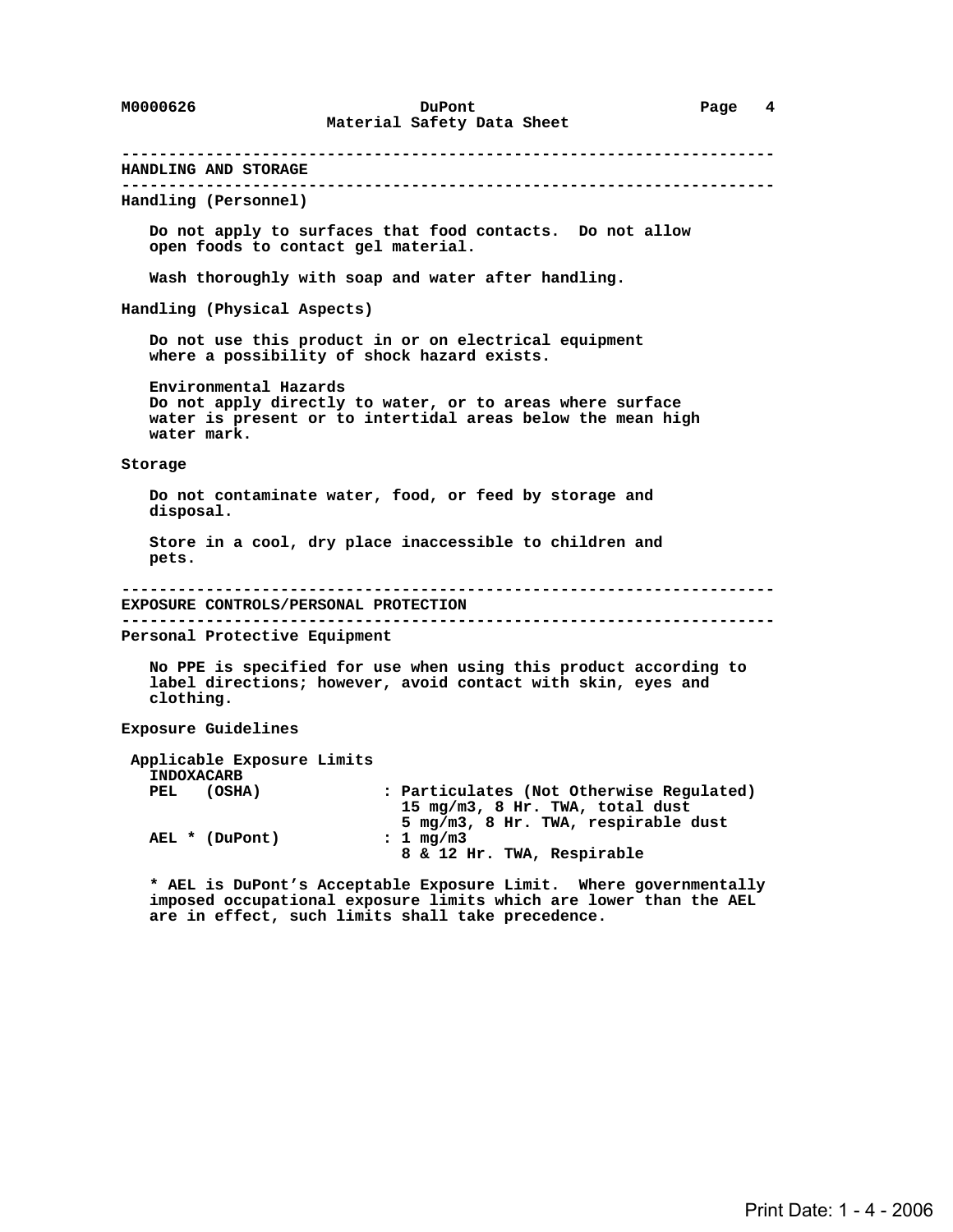**---------------------------------------------------------------------- HANDLING AND STORAGE ---------------------------------------------------------------------- Handling (Personnel) Do not apply to surfaces that food contacts. Do not allow open foods to contact gel material. Wash thoroughly with soap and water after handling. Handling (Physical Aspects) Do not use this product in or on electrical equipment where a possibility of shock hazard exists. Environmental Hazards Do not apply directly to water, or to areas where surface water is present or to intertidal areas below the mean high water mark. Storage Do not contaminate water, food, or feed by storage and disposal. Store in a cool, dry place inaccessible to children and pets. ---------------------------------------------------------------------- EXPOSURE CONTROLS/PERSONAL PROTECTION ---------------------------------------------------------------------- Personal Protective Equipment No PPE is specified for use when using this product according to label directions; however, avoid contact with skin, eyes and clothing. Exposure Guidelines Applicable Exposure Limits INDOXACARB PEL (OSHA) : Particulates (Not Otherwise Regulated) 15 mg/m3, 8 Hr. TWA, total dust 5 mg/m3, 8 Hr. TWA, respirable dust** AEL \* (DuPont)  **8 & 12 Hr. TWA, Respirable \* AEL is DuPont's Acceptable Exposure Limit. Where governmentally imposed occupational exposure limits which are lower than the AEL**

 **are in effect, such limits shall take precedence.**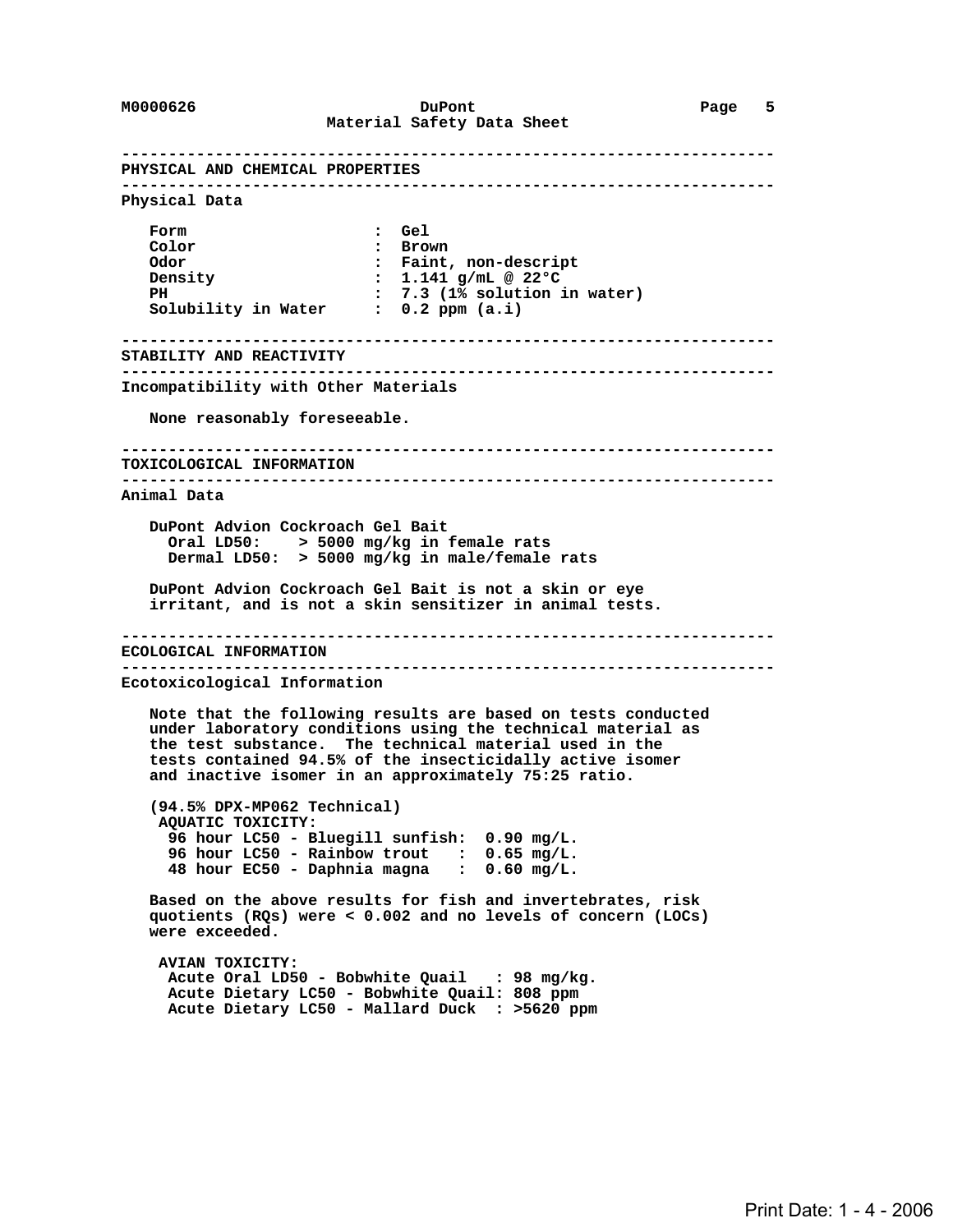**---------------------------------------------------------------------- PHYSICAL AND CHEMICAL PROPERTIES ---------------------------------------------------------------------- Physical Data Form : Gel Color : Brown :** Faint, non-descript  **Density : 1.141 g/mL @ 22°C PH : 7.3 (1% solution in water) Solubility in Water : 0.2 ppm (a.i) ---------------------------------------------------------------------- STABILITY AND REACTIVITY ---------------------------------------------------------------------- Incompatibility with Other Materials None reasonably foreseeable. ---------------------------------------------------------------------- TOXICOLOGICAL INFORMATION ---------------------------------------------------------------------- Animal Data DuPont Advion Cockroach Gel Bait Oral LD50: > 5000 mg/kg in female rats Dermal LD50: > 5000 mg/kg in male/female rats DuPont Advion Cockroach Gel Bait is not a skin or eye irritant, and is not a skin sensitizer in animal tests. ---------------------------------------------------------------------- ECOLOGICAL INFORMATION ---------------------------------------------------------------------- Ecotoxicological Information Note that the following results are based on tests conducted under laboratory conditions using the technical material as the test substance. The technical material used in the tests contained 94.5% of the insecticidally active isomer and inactive isomer in an approximately 75:25 ratio. (94.5% DPX-MP062 Technical) AQUATIC TOXICITY: 96 hour LC50 - Bluegill sunfish: 0.90 mg/L. 96 hour LC50 - Rainbow trout : 0.65 mg/L. 48 hour EC50 - Daphnia magna : 0.60 mg/L. Based on the above results for fish and invertebrates, risk quotients (RQs) were < 0.002 and no levels of concern (LOCs) were exceeded. AVIAN TOXICITY: Acute Oral LD50 - Bobwhite Quail : 98 mg/kg. Acute Dietary LC50 - Bobwhite Quail: 808 ppm Acute Dietary LC50 - Mallard Duck : >5620 ppm**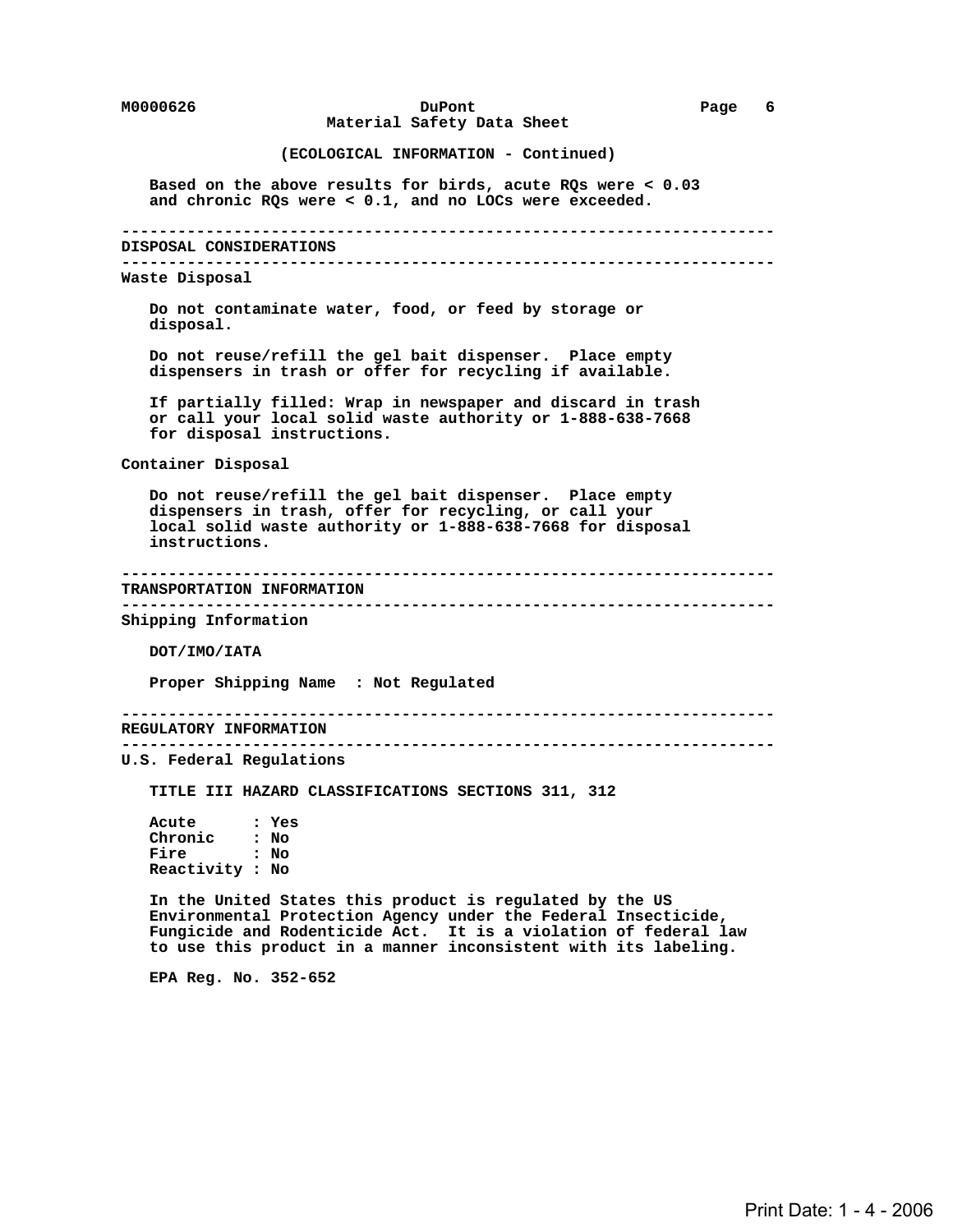## **M0000626 DuPont Page 6 Material Safety Data Sheet**

### **(ECOLOGICAL INFORMATION - Continued)**

 **Based on the above results for birds, acute RQs were < 0.03 and chronic RQs were < 0.1, and no LOCs were exceeded.**

 **----------------------------------------------------------------------**

#### **DISPOSAL CONSIDERATIONS**

 **----------------------------------------------------------------------**

#### **Waste Disposal**

 **Do not contaminate water, food, or feed by storage or disposal.**

 **Do not reuse/refill the gel bait dispenser. Place empty dispensers in trash or offer for recycling if available.**

 **If partially filled: Wrap in newspaper and discard in trash or call your local solid waste authority or 1-888-638-7668 for disposal instructions.**

 **Container Disposal**

 **Do not reuse/refill the gel bait dispenser. Place empty dispensers in trash, offer for recycling, or call your local solid waste authority or 1-888-638-7668 for disposal instructions.**

#### **---------------------------------------------------------------------- TRANSPORTATION INFORMATION**

 **----------------------------------------------------------------------**

 **Shipping Information**

 **DOT/IMO/IATA**

 **Proper Shipping Name : Not Regulated**

 **----------------------------------------------------------------------**

 **REGULATORY INFORMATION ----------------------------------------------------------------------**

 **U.S. Federal Regulations**

 **TITLE III HAZARD CLASSIFICATIONS SECTIONS 311, 312**

 **Acute : Yes Chronic : No Fire : No Reactivity : No**

 **In the United States this product is regulated by the US Environmental Protection Agency under the Federal Insecticide, Fungicide and Rodenticide Act. It is a violation of federal law to use this product in a manner inconsistent with its labeling.**

 **EPA Reg. No. 352-652**